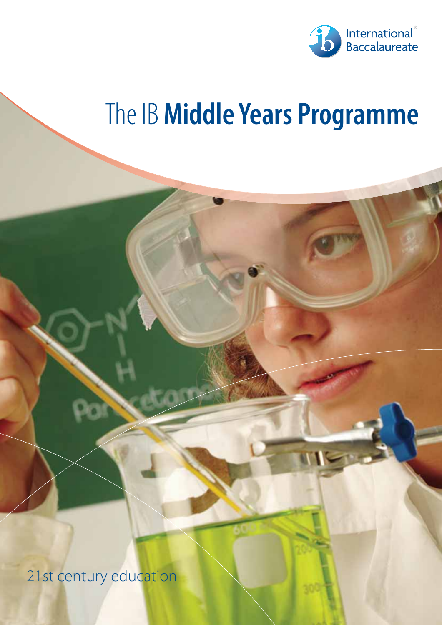

# The IB **Middle Years Programme**

21st century education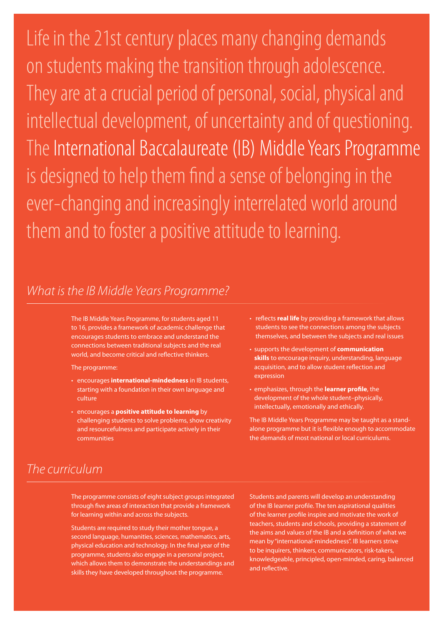Life in the 21st century places many changing demands on students making the transition through adolescence. They are at a crucial period of personal, social, physical and intellectual development, of uncertainty and of questioning. The International Baccalaureate (IB) Middle Years Programme is designed to help them find a sense of belonging in the ever-changing and increasingly interrelated world around them and to foster a positive attitude to learning.

#### What is the IB Middle Years Programme?

The IB Middle Years Programme, for students aged 11 to 16, provides a framework of academic challenge that encourages students to embrace and understand the connections between traditional subjects and the real world, and become critical and reflective thinkers.

The programme:

- encourages **international-mindedness** in IB students, starting with a foundation in their own language and culture
- encourages a **positive attitude to learning** by challenging students to solve problems, show creativity and resourcefulness and participate actively in their communities
- reflects **real life** by providing a framework that allows students to see the connections among the subjects themselves, and between the subjects and real issues
- supports the development of **communication skills** to encourage inquiry, understanding, language acquisition, and to allow student reflection and expression
- emphasizes, through the **learner profile**, the development of the whole student–physically, intellectually, emotionally and ethically.

The IB Middle Years Programme may be taught as a standalone programme but it is flexible enough to accommodate the demands of most national or local curriculums.

## The curriculum

The programme consists of eight subject groups integrated through five areas of interaction that provide a framework for learning within and across the subjects.

Students are required to study their mother tongue, a second language, humanities, sciences, mathematics, arts, physical education and technology. In the final year of the programme, students also engage in a personal project, which allows them to demonstrate the understandings and skills they have developed throughout the programme.

Students and parents will develop an understanding of the IB learner profile. The ten aspirational qualities of the learner profile inspire and motivate the work of teachers, students and schools, providing a statement of the aims and values of the IB and a definition of what we mean by "international-mindedness". IB learners strive to be inquirers, thinkers, communicators, risk-takers, knowledgeable, principled, open-minded, caring, balanced and reflective.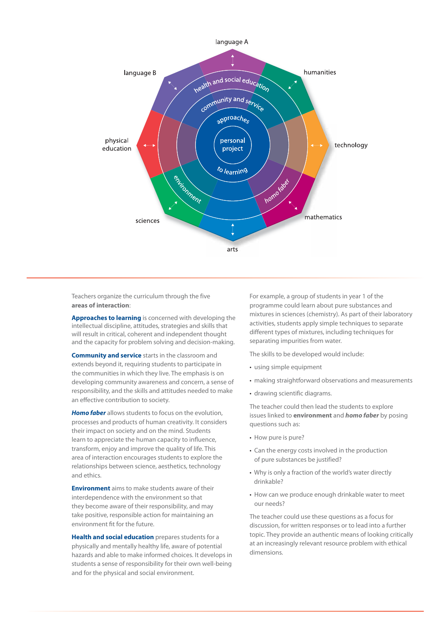

Teachers organize the curriculum through the five **areas of interaction**:

**Approaches to learning** is concerned with developing the intellectual discipline, attitudes, strategies and skills that will result in critical, coherent and independent thought and the capacity for problem solving and decision-making.

**Community and service** starts in the classroom and extends beyond it, requiring students to participate in the communities in which they live. The emphasis is on developing community awareness and concern, a sense of responsibility, and the skills and attitudes needed to make an effective contribution to society.

*Homo faber* allows students to focus on the evolution, processes and products of human creativity. It considers their impact on society and on the mind. Students learn to appreciate the human capacity to influence, transform, enjoy and improve the quality of life. This area of interaction encourages students to explore the relationships between science, aesthetics, technology and ethics.

**Environment** aims to make students aware of their interdependence with the environment so that they become aware of their responsibility, and may take positive, responsible action for maintaining an environment fit for the future.

**Health and social education** prepares students for a physically and mentally healthy life, aware of potential hazards and able to make informed choices. It develops in students a sense of responsibility for their own well-being and for the physical and social environment.

For example, a group of students in year 1 of the programme could learn about pure substances and mixtures in sciences (chemistry). As part of their laboratory activities, students apply simple techniques to separate different types of mixtures, including techniques for separating impurities from water.

The skills to be developed would include:

- using simple equipment
- making straightforward observations and measurements
- drawing scientific diagrams.

The teacher could then lead the students to explore issues linked to **environment** and *homo faber* by posing questions such as:

- How pure is pure?
- Can the energy costs involved in the production of pure substances be justified?
- Why is only a fraction of the world's water directly drinkable?
- How can we produce enough drinkable water to meet our needs?

The teacher could use these questions as a focus for discussion, for written responses or to lead into a further topic. They provide an authentic means of looking critically at an increasingly relevant resource problem with ethical dimensions.